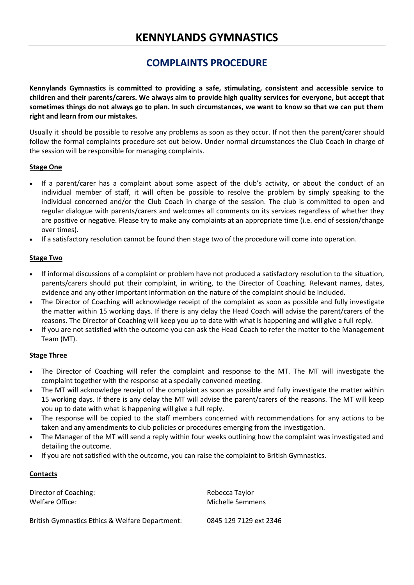# **KENNYLANDS GYMNASTICS**

# **COMPLAINTS PROCEDURE**

**Kennylands Gymnastics is committed to providing a safe, stimulating, consistent and accessible service to children and their parents/carers. We always aim to provide high quality services for everyone, but accept that sometimes things do not always go to plan. In such circumstances, we want to know so that we can put them right and learn from our mistakes.**

Usually it should be possible to resolve any problems as soon as they occur. If not then the parent/carer should follow the formal complaints procedure set out below. Under normal circumstances the Club Coach in charge of the session will be responsible for managing complaints.

### **Stage One**

- If a parent/carer has a complaint about some aspect of the club's activity, or about the conduct of an individual member of staff, it will often be possible to resolve the problem by simply speaking to the individual concerned and/or the Club Coach in charge of the session. The club is committed to open and regular dialogue with parents/carers and welcomes all comments on its services regardless of whether they are positive or negative. Please try to make any complaints at an appropriate time (i.e. end of session/change over times).
- If a satisfactory resolution cannot be found then stage two of the procedure will come into operation.

### **Stage Two**

- If informal discussions of a complaint or problem have not produced a satisfactory resolution to the situation, parents/carers should put their complaint, in writing, to the Director of Coaching. Relevant names, dates, evidence and any other important information on the nature of the complaint should be included.
- The Director of Coaching will acknowledge receipt of the complaint as soon as possible and fully investigate the matter within 15 working days. If there is any delay the Head Coach will advise the parent/carers of the reasons. The Director of Coaching will keep you up to date with what is happening and will give a full reply.
- If you are not satisfied with the outcome you can ask the Head Coach to refer the matter to the Management Team (MT).

#### **Stage Three**

- The Director of Coaching will refer the complaint and response to the MT. The MT will investigate the complaint together with the response at a specially convened meeting.
- The MT will acknowledge receipt of the complaint as soon as possible and fully investigate the matter within 15 working days. If there is any delay the MT will advise the parent/carers of the reasons. The MT will keep you up to date with what is happening will give a full reply.
- The response will be copied to the staff members concerned with recommendations for any actions to be taken and any amendments to club policies or procedures emerging from the investigation.
- The Manager of the MT will send a reply within four weeks outlining how the complaint was investigated and detailing the outcome.
- If you are not satisfied with the outcome, you can raise the complaint to British Gymnastics.

### **Contacts**

Director of Coaching: New York 1999 and 2008 and 2008 and 2008 and 2008 and 2008 and 2008 and 2008 and 2008 and 2008 and 2008 and 2008 and 2008 and 2008 and 2008 and 2008 and 2008 and 2008 and 2008 and 2008 and 2008 and 20 Welfare Office: Michelle Semmens

British Gymnastics Ethics & Welfare Department: 0845 129 7129 ext 2346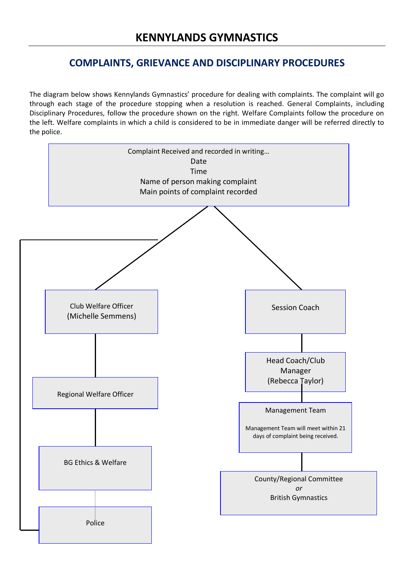# **COMPLAINTS, GRIEVANCE AND DISCIPLINARY PROCEDURES**

The diagram below shows Kennylands Gymnastics' procedure for dealing with complaints. The complaint will go through each stage of the procedure stopping when a resolution is reached. General Complaints, including Disciplinary Procedures, follow the procedure shown on the right. Welfare Complaints follow the procedure on the left. Welfare complaints in which a child is considered to be in immediate danger will be referred directly to the police.